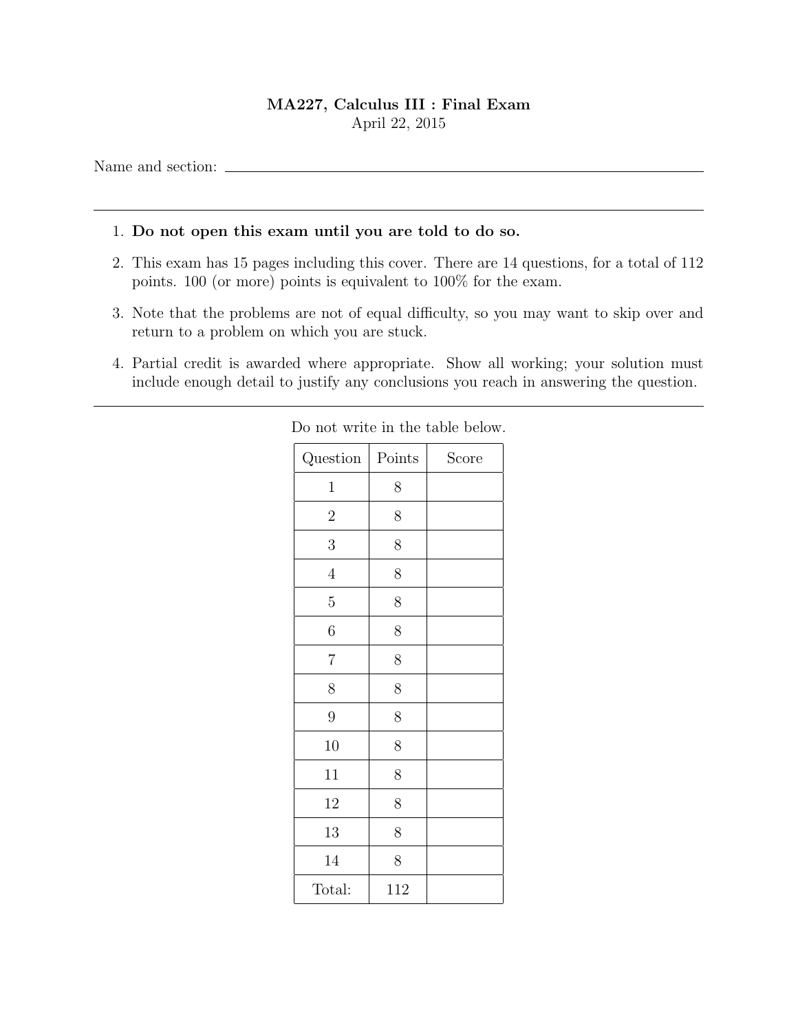## MA227, Calculus III : Final Exam April 22, 2015

Name and section:

## 1. Do not open this exam until you are told to do so.

- 2. This exam has 15 pages including this cover. There are 14 questions, for a total of 112 points. 100 (or more) points is equivalent to 100% for the exam.
- 3. Note that the problems are not of equal difficulty, so you may want to skip over and return to a problem on which you are stuck.
- 4. Partial credit is awarded where appropriate. Show all working; your solution must include enough detail to justify any conclusions you reach in answering the question.

| Question       | Points | Score |
|----------------|--------|-------|
| $\mathbf 1$    | 8      |       |
| $\overline{2}$ | $8\,$  |       |
| 3              | 8      |       |
| $\overline{4}$ | 8      |       |
| $\overline{5}$ | 8      |       |
| 6              | 8      |       |
| $\!\!7$        | 8      |       |
| 8              | 8      |       |
| 9              | 8      |       |
| 10             | 8      |       |
| 11             | 8      |       |
| 12             | 8      |       |
| 13             | 8      |       |
| 14             | 8      |       |
| Total:         | 112    |       |

Do not write in the table below.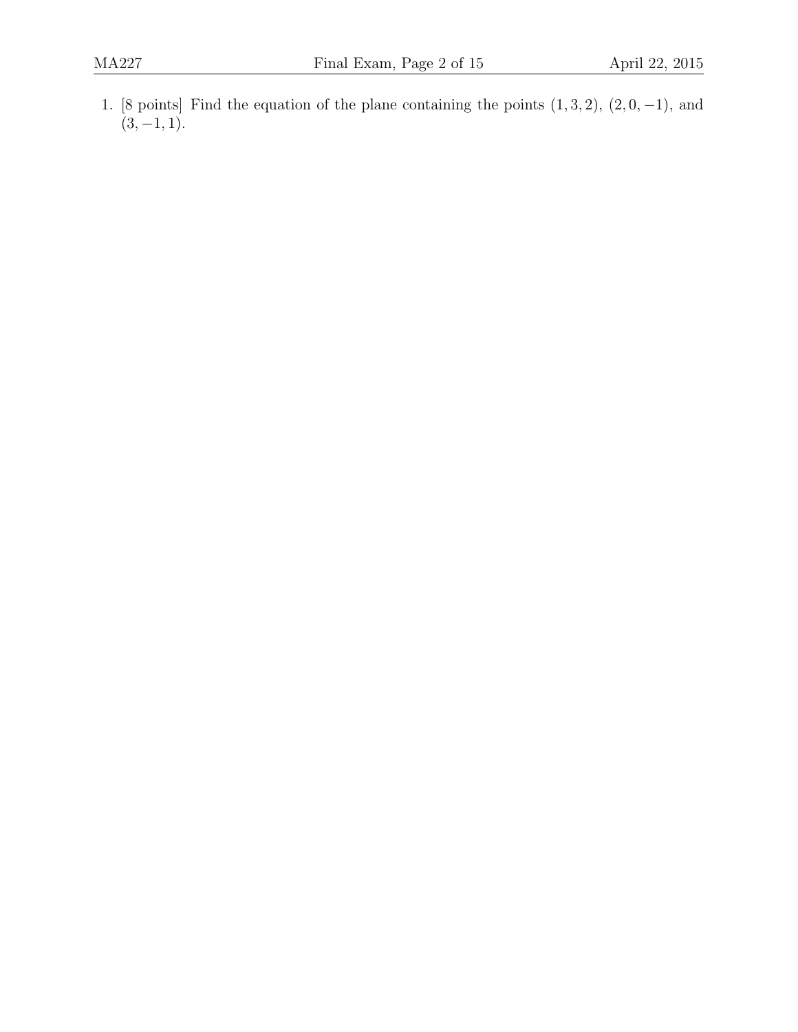1. [8 points] Find the equation of the plane containing the points  $(1, 3, 2)$ ,  $(2, 0, -1)$ , and  $(3, -1, 1).$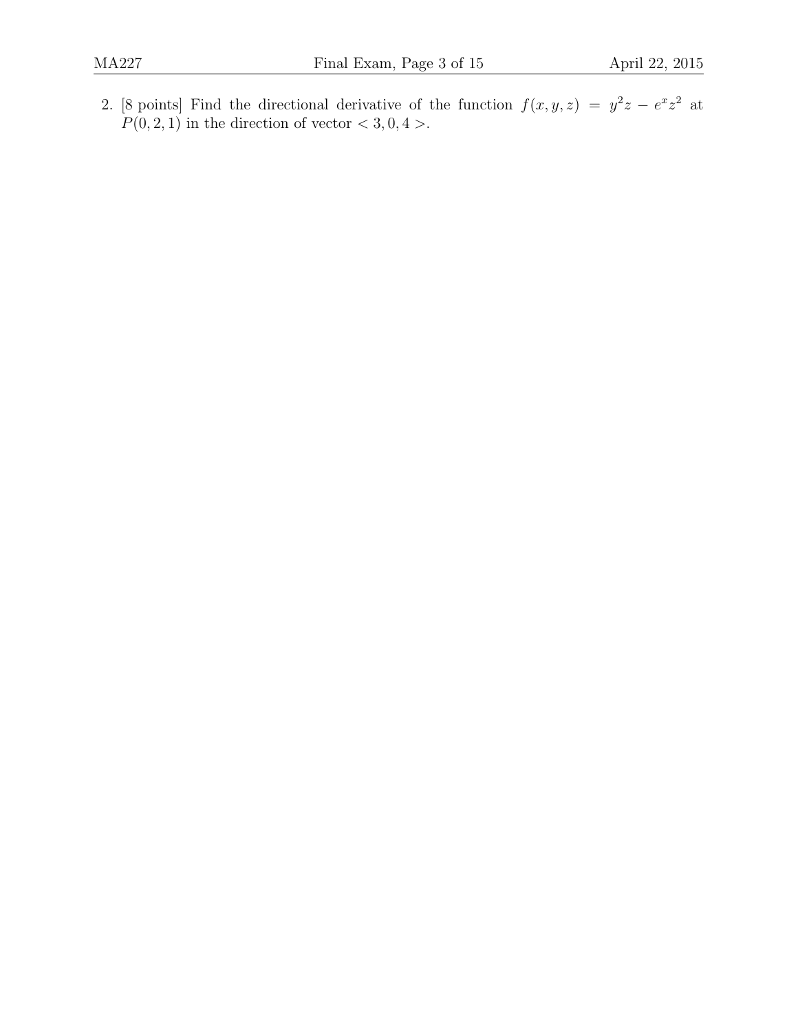2. [8 points] Find the directional derivative of the function  $f(x, y, z) = y^2z - e^x z^2$  at  $P(0, 2, 1)$  in the direction of vector  $\lt 3, 0, 4$ .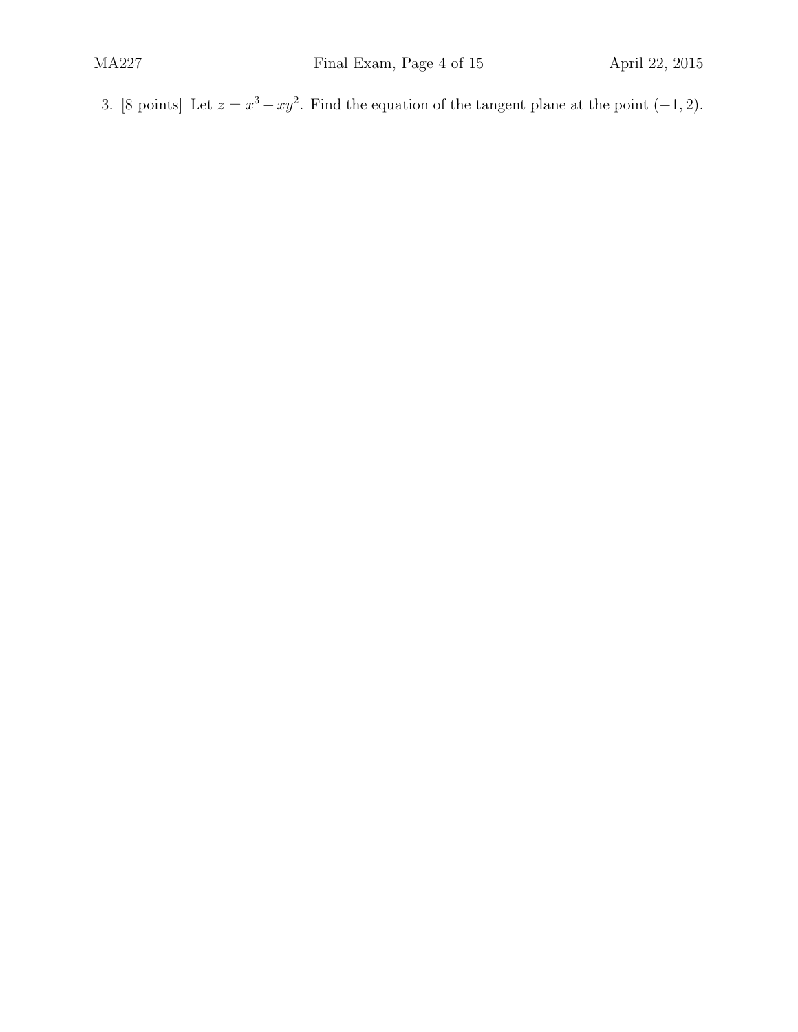3. [8 points] Let  $z = x^3 - xy^2$ . Find the equation of the tangent plane at the point  $(-1, 2)$ .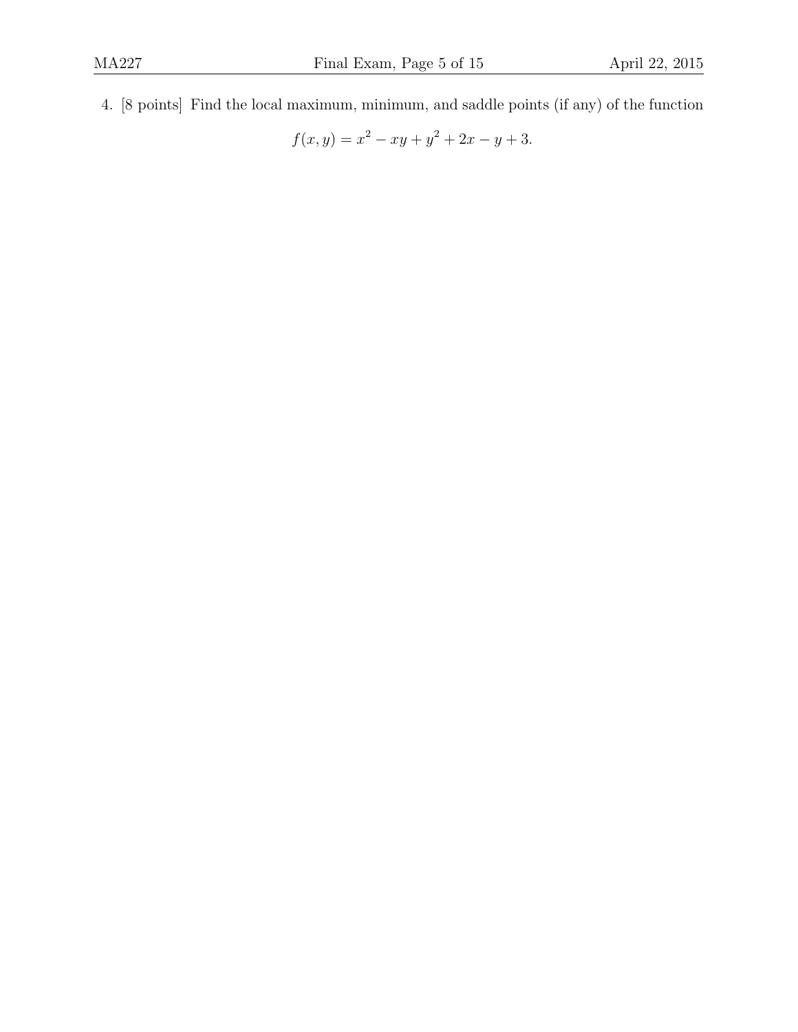4. [8 points] Find the local maximum, minimum, and saddle points (if any) of the function

$$
f(x,y) = x^2 - xy + y^2 + 2x - y + 3.
$$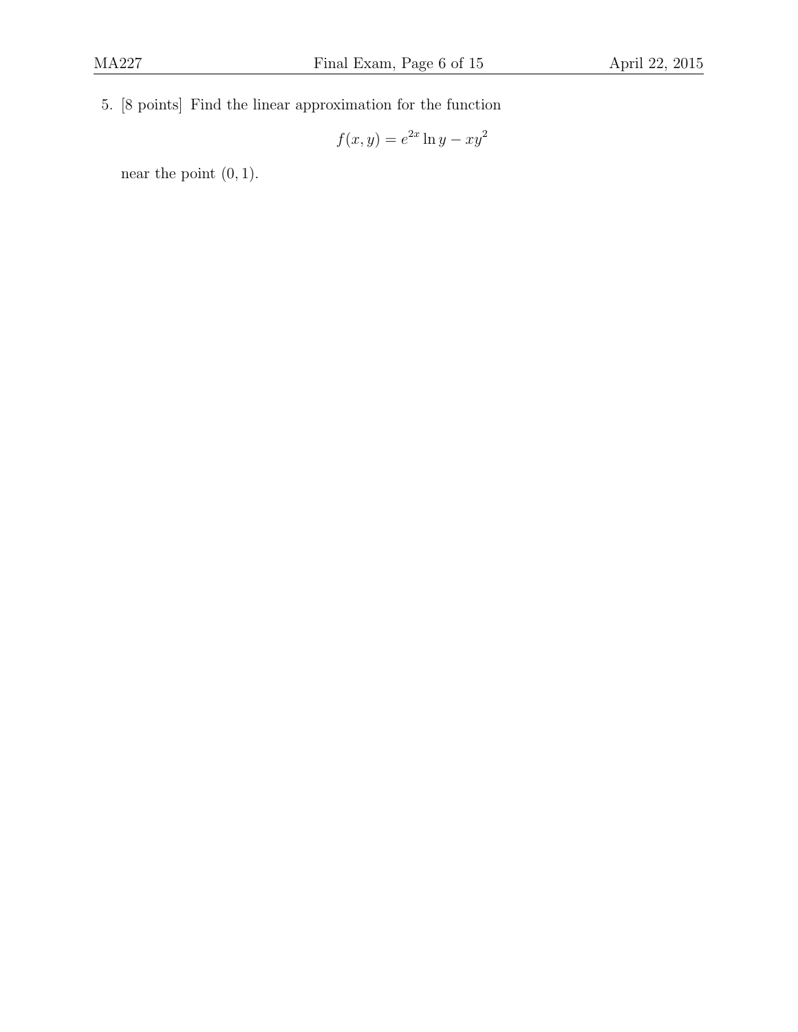5. [8 points] Find the linear approximation for the function

$$
f(x,y) = e^{2x} \ln y - xy^2
$$

near the point  $(0, 1)$ .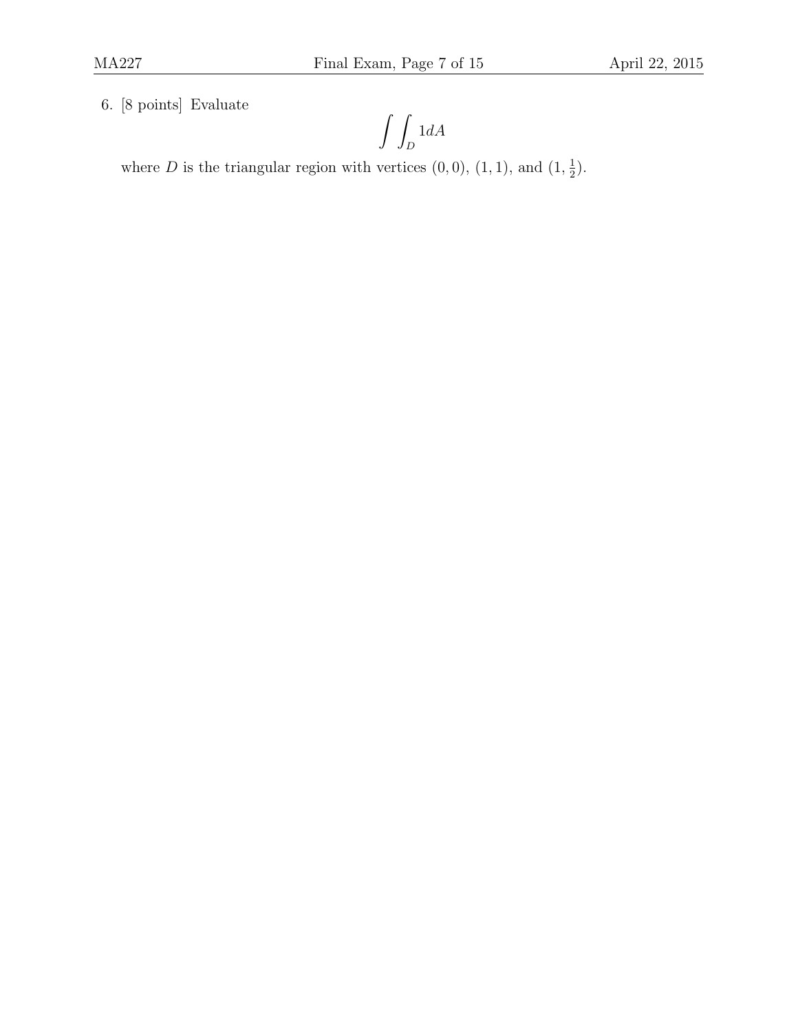6. [8 points] Evaluate

$$
\int\int_D 1 dA
$$

where D is the triangular region with vertices  $(0,0)$ ,  $(1,1)$ , and  $(1,\frac{1}{2})$  $(\frac{1}{2})$ .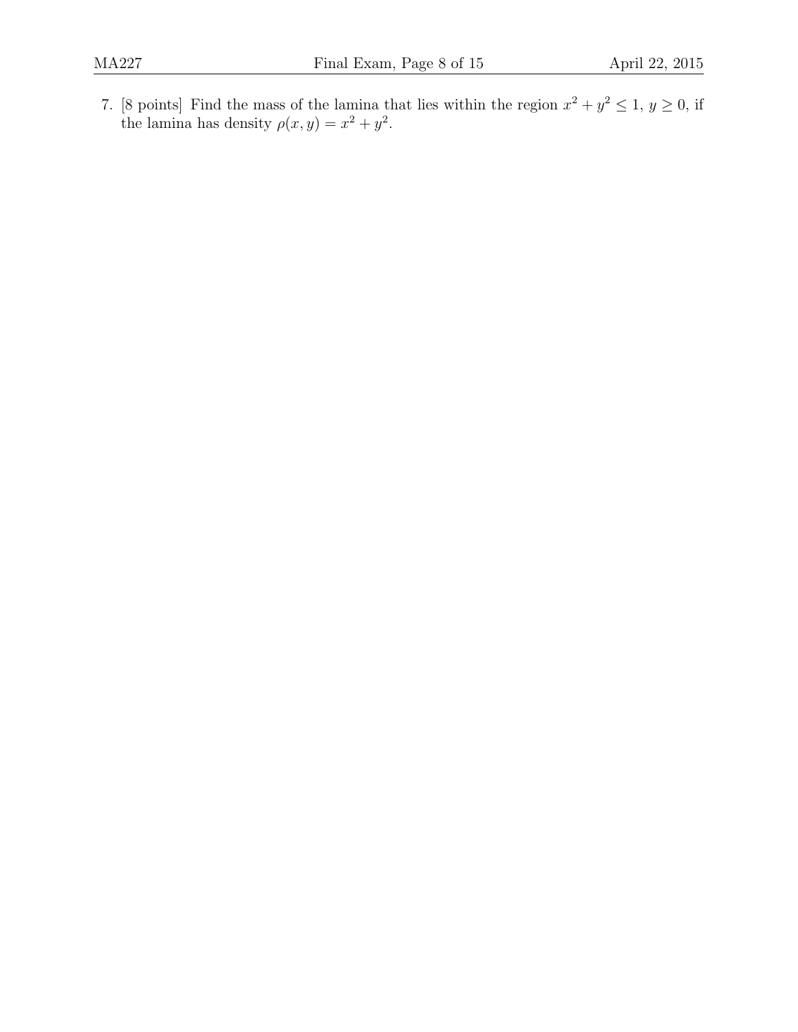7. [8 points] Find the mass of the lamina that lies within the region  $x^2 + y^2 \leq 1, y \geq 0$ , if the lamina has density  $\rho(x, y) = x^2 + y^2$ .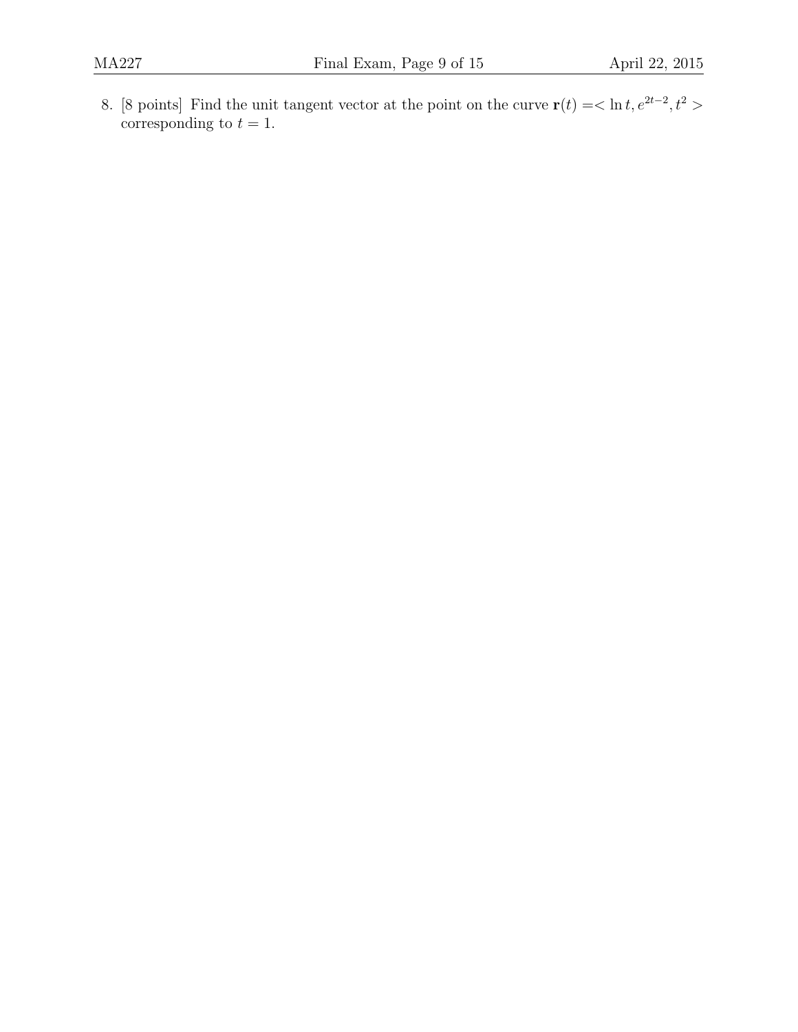8. [8 points] Find the unit tangent vector at the point on the curve  $\mathbf{r}(t) = \langle \ln t, e^{2t-2}, t^2 \rangle$ corresponding to  $t = 1$ .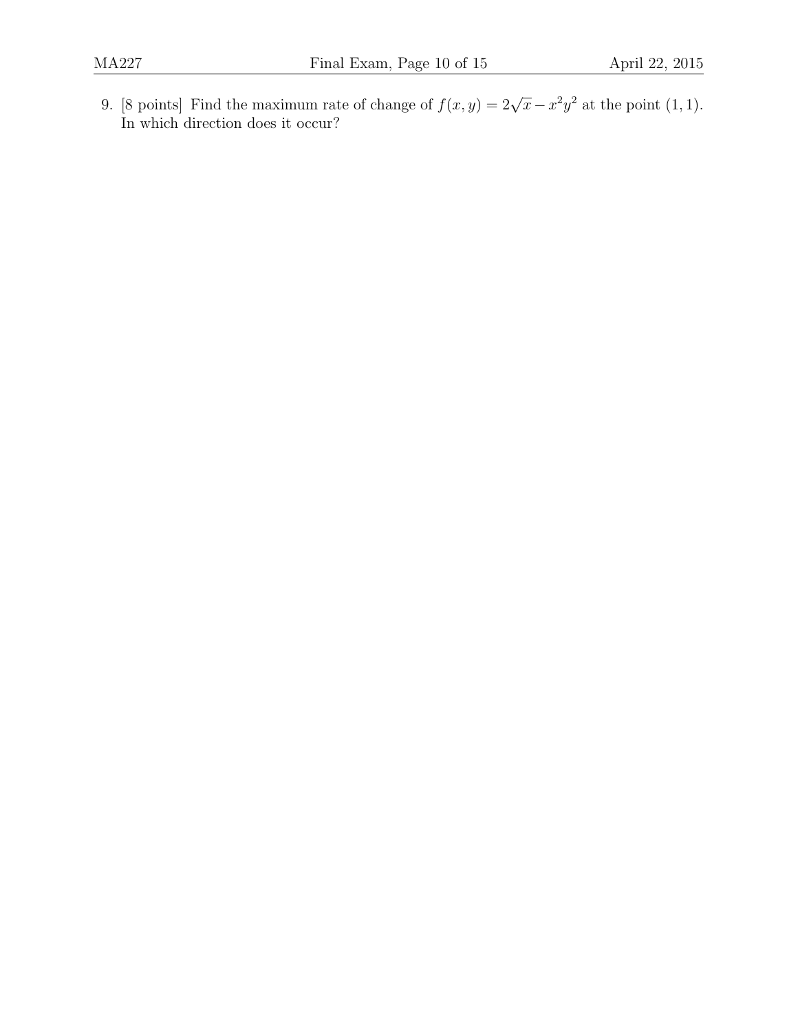9. [8 points] Find the maximum rate of change of  $f(x, y) = 2\sqrt{x} - x^2y^2$  at the point (1, 1). In which direction does it occur?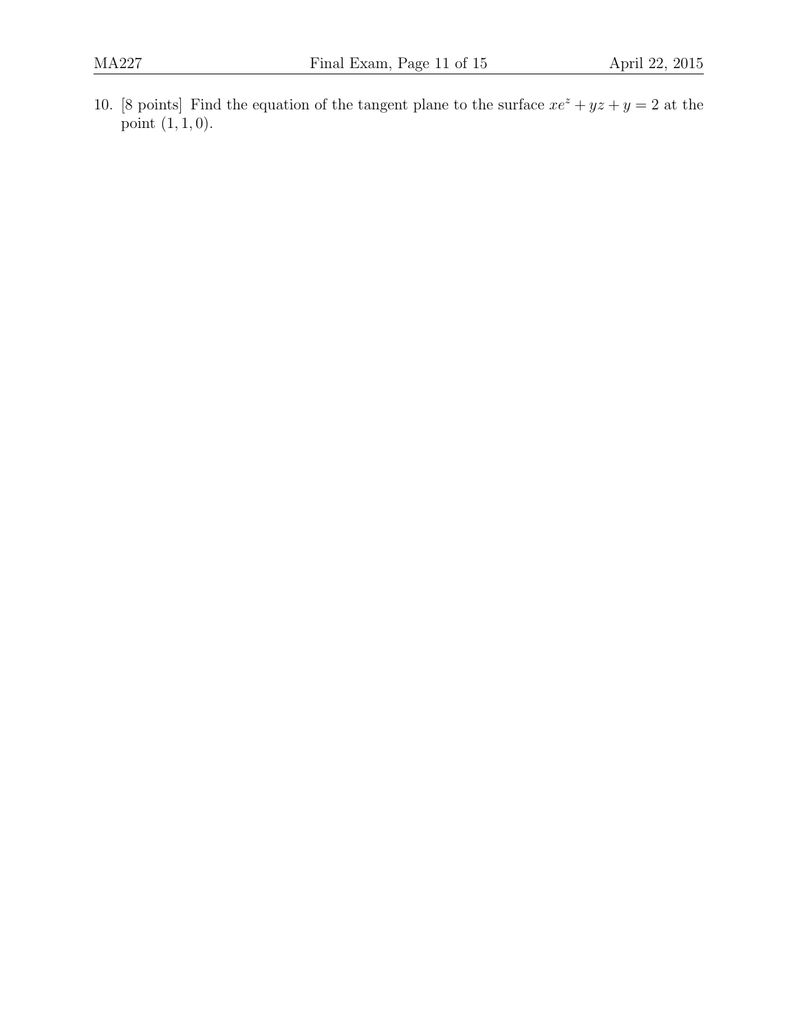10. [8 points] Find the equation of the tangent plane to the surface  $xe^z + yz + y = 2$  at the point  $(1, 1, 0)$ .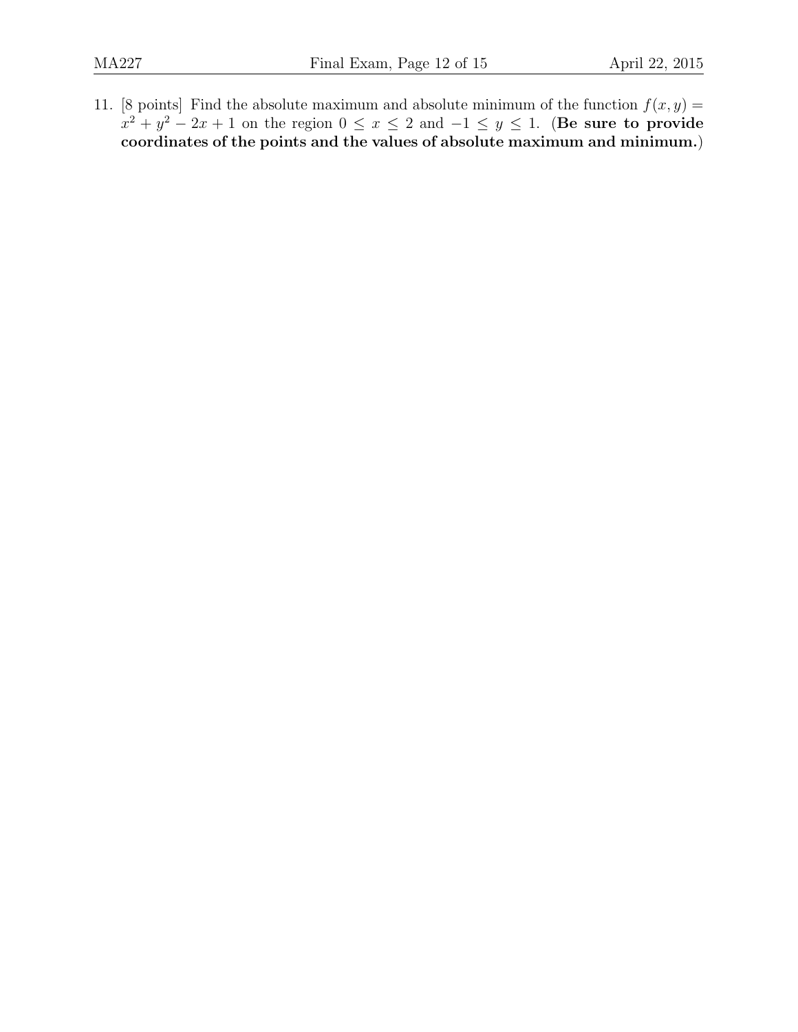11. [8 points] Find the absolute maximum and absolute minimum of the function  $f(x, y) =$  $x^2 + y^2 - 2x + 1$  on the region  $0 \le x \le 2$  and  $-1 \le y \le 1$ . (Be sure to provide coordinates of the points and the values of absolute maximum and minimum.)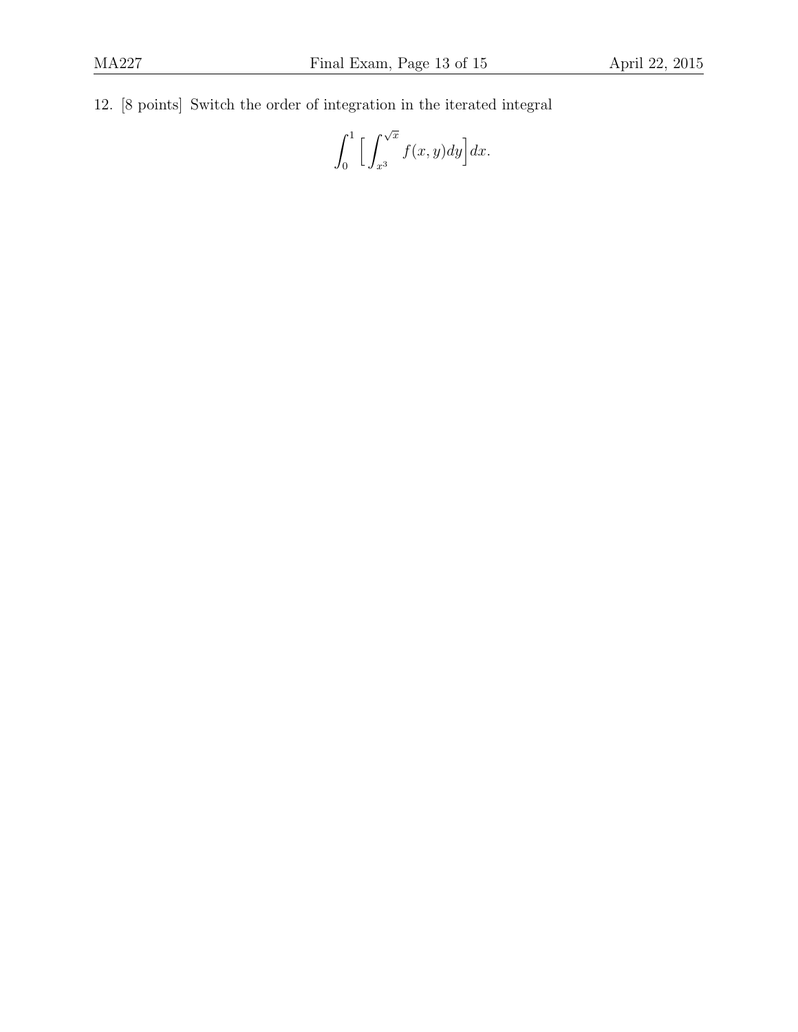12. [8 points] Switch the order of integration in the iterated integral

$$
\int_0^1 \Big[ \int_{x^3}^{\sqrt{x}} f(x, y) dy \Big] dx.
$$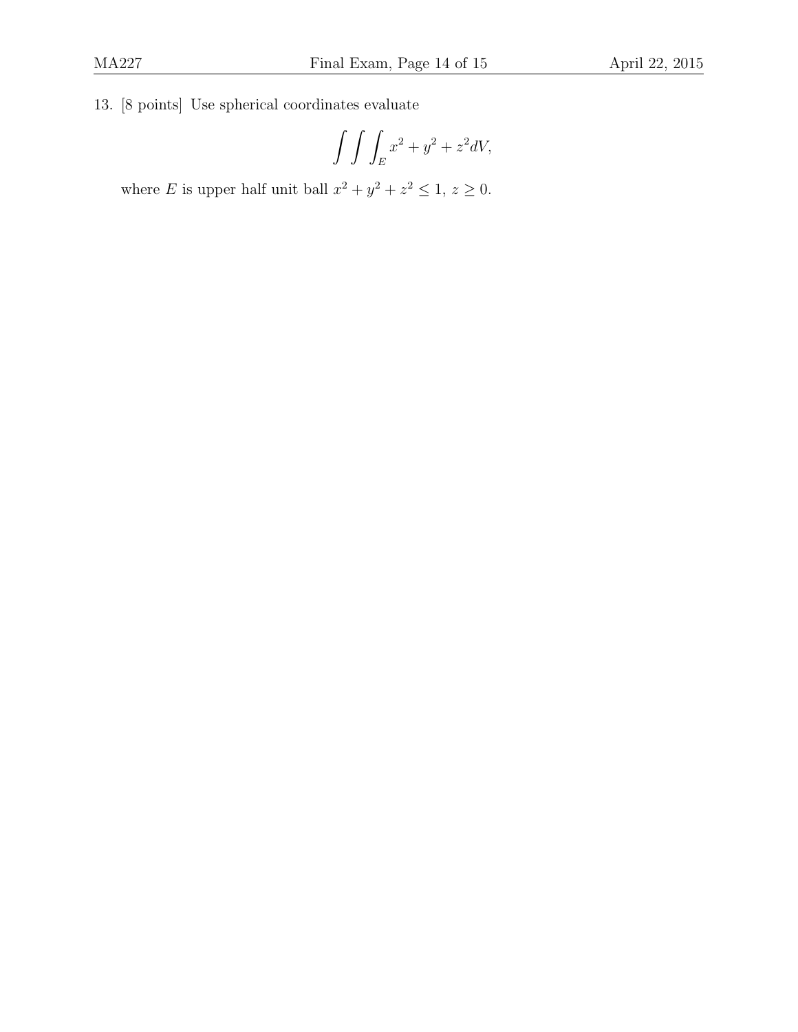13. [8 points] Use spherical coordinates evaluate

$$
\int \int \int_E x^2 + y^2 + z^2 dV,
$$

where E is upper half unit ball  $x^2 + y^2 + z^2 \leq 1$ ,  $z \geq 0$ .